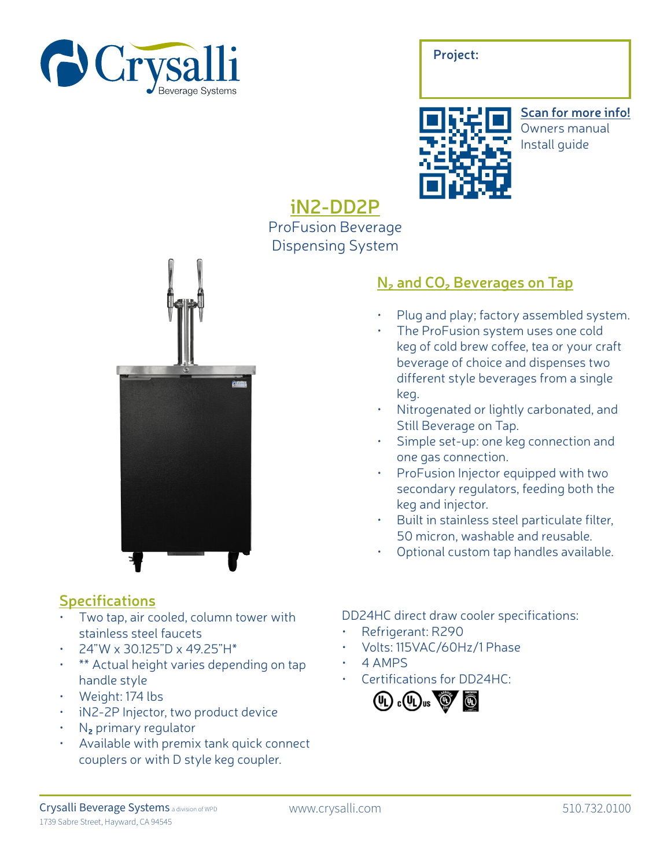

| Project: |  |  |
|----------|--|--|
|          |  |  |
|          |  |  |



**Scan for more info!** Owners manual Install guide

## **iN2-DD2P** ProFusion Beverage Dispensing System



### **Specifications**

- Two tap, air cooled, column tower with stainless steel faucets
- 24"W x 30.125"D x 49.25"H\*
- \*\* Actual height varies depending on tap handle style
- Weight: 174 lbs
- iN2-2P Injector, two product device
- N**2** primary regulator
- Available with premix tank quick connect couplers or with D style keg coupler.

# • The ProFusion system uses one cold

**N2 and CO2 Beverages on Tap**

keg of cold brew coffee, tea or your craft beverage of choice and dispenses two different style beverages from a single keg.

• Plug and play; factory assembled system.

- Nitrogenated or lightly carbonated, and Still Beverage on Tap.
- Simple set-up: one keg connection and one gas connection.
- ProFusion Injector equipped with two secondary regulators, feeding both the keg and injector.
- Built in stainless steel particulate filter, 50 micron, washable and reusable.
- Optional custom tap handles available.

### DD24HC direct draw cooler specifications:

- Refrigerant: R290
- Volts: 115VAC/60Hz/1 Phase
- 4 AMPS
- Certifications for DD24HC: